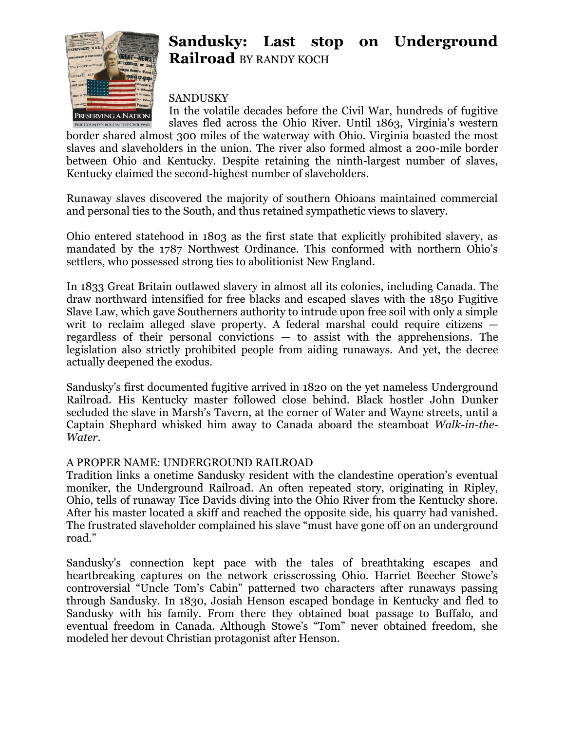

## **Sandusky: Last stop on Underground Railroad** BY RANDY KOCH

SANDUSKY

In the volatile decades before the Civil War, hundreds of fugitive slaves fled across the Ohio River. Until 1863, Virginia's western ERIE COUNTY'S ROLE IN THE CIVIL WAR border shared almost 300 miles of the waterway with Ohio. Virginia boasted the most slaves and slaveholders in the union. The river also formed almost a 200-mile border between Ohio and Kentucky. Despite retaining the ninth-largest number of slaves, Kentucky claimed the second-highest number of slaveholders.

Runaway slaves discovered the majority of southern Ohioans maintained commercial and personal ties to the South, and thus retained sympathetic views to slavery.

Ohio entered statehood in 1803 as the first state that explicitly prohibited slavery, as mandated by the 1787 Northwest Ordinance. This conformed with northern Ohio's settlers, who possessed strong ties to abolitionist New England.

In 1833 Great Britain outlawed slavery in almost all its colonies, including Canada. The draw northward intensified for free blacks and escaped slaves with the 1850 Fugitive Slave Law, which gave Southerners authority to intrude upon free soil with only a simple writ to reclaim alleged slave property. A federal marshal could require citizens regardless of their personal convictions — to assist with the apprehensions. The legislation also strictly prohibited people from aiding runaways. And yet, the decree actually deepened the exodus.

Sandusky's first documented fugitive arrived in 1820 on the yet nameless Underground Railroad. His Kentucky master followed close behind. Black hostler John Dunker secluded the slave in Marsh's Tavern, at the corner of Water and Wayne streets, until a Captain Shephard whisked him away to Canada aboard the steamboat *Walk-in-the-Water*.

## A PROPER NAME: UNDERGROUND RAILROAD

Tradition links a onetime Sandusky resident with the clandestine operation's eventual moniker, the Underground Railroad. An often repeated story, originating in Ripley, Ohio, tells of runaway Tice Davids diving into the Ohio River from the Kentucky shore. After his master located a skiff and reached the opposite side, his quarry had vanished. The frustrated slaveholder complained his slave "must have gone off on an underground road."

Sandusky's connection kept pace with the tales of breathtaking escapes and heartbreaking captures on the network crisscrossing Ohio. Harriet Beecher Stowe's controversial "Uncle Tom's Cabin" patterned two characters after runaways passing through Sandusky. In 1830, Josiah Henson escaped bondage in Kentucky and fled to Sandusky with his family. From there they obtained boat passage to Buffalo, and eventual freedom in Canada. Although Stowe's "Tom" never obtained freedom, she modeled her devout Christian protagonist after Henson.